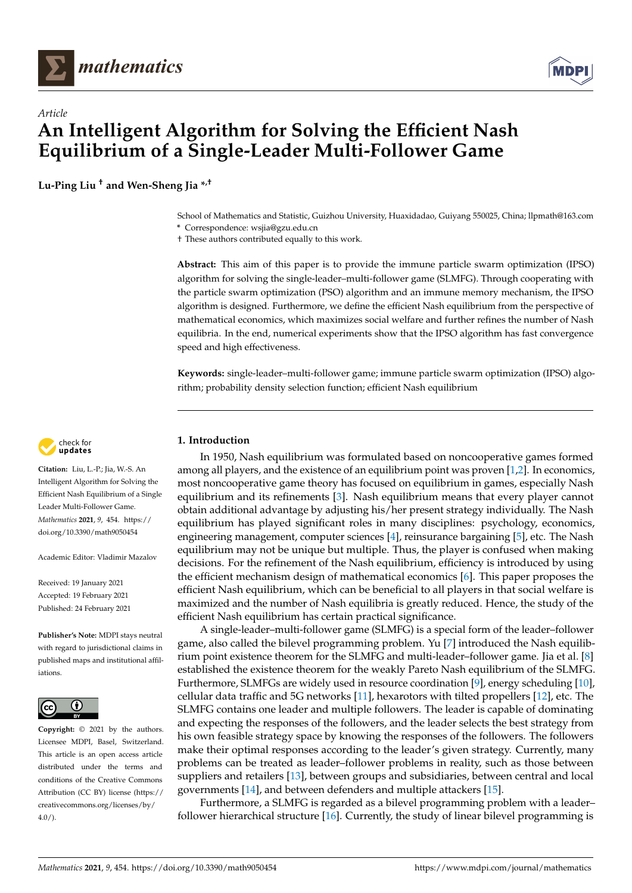



# *Article* **An Intelligent Algorithm for Solving the Efficient Nash Equilibrium of a Single-Leader Multi-Follower Game**

**Lu-Ping Liu † and Wen-Sheng Jia \*,†**

School of Mathematics and Statistic, Guizhou University, Huaxidadao, Guiyang 550025, China; llpmath@163.com

**\*** Correspondence: wsjia@gzu.edu.cn † These authors contributed equally to this work.

**Abstract:** This aim of this paper is to provide the immune particle swarm optimization (IPSO) algorithm for solving the single-leader–multi-follower game (SLMFG). Through cooperating with the particle swarm optimization (PSO) algorithm and an immune memory mechanism, the IPSO algorithm is designed. Furthermore, we define the efficient Nash equilibrium from the perspective of mathematical economics, which maximizes social welfare and further refines the number of Nash equilibria. In the end, numerical experiments show that the IPSO algorithm has fast convergence speed and high effectiveness.

**Keywords:** single-leader–multi-follower game; immune particle swarm optimization (IPSO) algorithm; probability density selection function; efficient Nash equilibrium

# **1. Introduction**

In 1950, Nash equilibrium was formulated based on noncooperative games formed among all players, and the existence of an equilibrium point was proven [\[1,](#page-12-0)[2\]](#page-12-1). In economics, most noncooperative game theory has focused on equilibrium in games, especially Nash equilibrium and its refinements [\[3\]](#page-12-2). Nash equilibrium means that every player cannot obtain additional advantage by adjusting his/her present strategy individually. The Nash equilibrium has played significant roles in many disciplines: psychology, economics, engineering management, computer sciences [\[4\]](#page-13-0), reinsurance bargaining [\[5\]](#page-13-1), etc. The Nash equilibrium may not be unique but multiple. Thus, the player is confused when making decisions. For the refinement of the Nash equilibrium, efficiency is introduced by using the efficient mechanism design of mathematical economics [\[6\]](#page-13-2). This paper proposes the efficient Nash equilibrium, which can be beneficial to all players in that social welfare is maximized and the number of Nash equilibria is greatly reduced. Hence, the study of the efficient Nash equilibrium has certain practical significance.

A single-leader–multi-follower game (SLMFG) is a special form of the leader–follower game, also called the bilevel programming problem. Yu [\[7\]](#page-13-3) introduced the Nash equilibrium point existence theorem for the SLMFG and multi-leader–follower game. Jia et al. [\[8\]](#page-13-4) established the existence theorem for the weakly Pareto Nash equilibrium of the SLMFG. Furthermore, SLMFGs are widely used in resource coordination [\[9\]](#page-13-5), energy scheduling [\[10\]](#page-13-6), cellular data traffic and 5G networks [\[11\]](#page-13-7), hexarotors with tilted propellers [\[12\]](#page-13-8), etc. The SLMFG contains one leader and multiple followers. The leader is capable of dominating and expecting the responses of the followers, and the leader selects the best strategy from his own feasible strategy space by knowing the responses of the followers. The followers make their optimal responses according to the leader's given strategy. Currently, many problems can be treated as leader–follower problems in reality, such as those between suppliers and retailers [\[13\]](#page-13-9), between groups and subsidiaries, between central and local governments [\[14\]](#page-13-10), and between defenders and multiple attackers [\[15\]](#page-13-11).

Furthermore, a SLMFG is regarded as a bilevel programming problem with a leader– follower hierarchical structure [\[16\]](#page-13-12). Currently, the study of linear bilevel programming is



**Citation:** Liu, L.-P.; Jia, W.-S. An Intelligent Algorithm for Solving the Efficient Nash Equilibrium of a Single Leader Multi-Follower Game. *Mathematics* **2021**, *9*, 454. [https://](https://doi.org/10.3390/math9050454) [doi.org/10.3390/math9050454](https://doi.org/10.3390/math9050454)

Academic Editor: Vladimir Mazalov

Received: 19 January 2021 Accepted: 19 February 2021 Published: 24 February 2021

**Publisher's Note:** MDPI stays neutral with regard to jurisdictional claims in published maps and institutional affiliations.



**Copyright:** © 2021 by the authors. Licensee MDPI, Basel, Switzerland. This article is an open access article distributed under the terms and conditions of the Creative Commons Attribution (CC BY) license (https:/[/](https://creativecommons.org/licenses/by/4.0/) [creativecommons.org/licenses/by/](https://creativecommons.org/licenses/by/4.0/)  $4.0/$ ).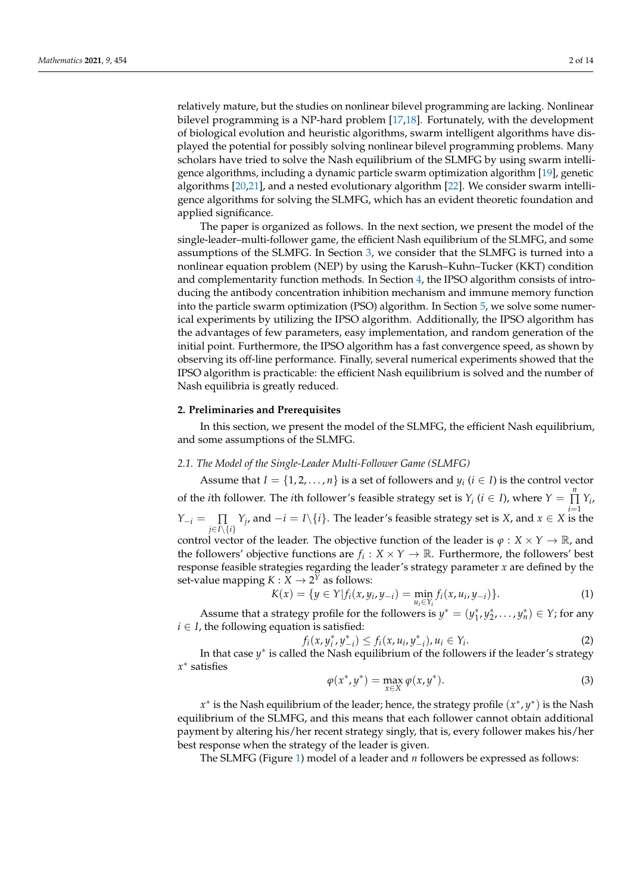relatively mature, but the studies on nonlinear bilevel programming are lacking. Nonlinear bilevel programming is a NP-hard problem [\[17](#page-13-13)[,18\]](#page-13-14). Fortunately, with the development of biological evolution and heuristic algorithms, swarm intelligent algorithms have displayed the potential for possibly solving nonlinear bilevel programming problems. Many scholars have tried to solve the Nash equilibrium of the SLMFG by using swarm intelligence algorithms, including a dynamic particle swarm optimization algorithm [\[19\]](#page-13-15), genetic algorithms [\[20,](#page-13-16)[21\]](#page-13-17), and a nested evolutionary algorithm [\[22\]](#page-13-18). We consider swarm intelligence algorithms for solving the SLMFG, which has an evident theoretic foundation and applied significance.

The paper is organized as follows. In the next section, we present the model of the single-leader–multi-follower game, the efficient Nash equilibrium of the SLMFG, and some assumptions of the SLMFG. In Section [3,](#page-3-0) we consider that the SLMFG is turned into a nonlinear equation problem (NEP) by using the Karush–Kuhn–Tucker (KKT) condition and complementarity function methods. In Section [4,](#page-5-0) the IPSO algorithm consists of introducing the antibody concentration inhibition mechanism and immune memory function into the particle swarm optimization (PSO) algorithm. In Section [5,](#page-8-0) we solve some numerical experiments by utilizing the IPSO algorithm. Additionally, the IPSO algorithm has the advantages of few parameters, easy implementation, and random generation of the initial point. Furthermore, the IPSO algorithm has a fast convergence speed, as shown by observing its off-line performance. Finally, several numerical experiments showed that the IPSO algorithm is practicable: the efficient Nash equilibrium is solved and the number of Nash equilibria is greatly reduced.

## **2. Preliminaries and Prerequisites**

In this section, we present the model of the SLMFG, the efficient Nash equilibrium, and some assumptions of the SLMFG.

## *2.1. The Model of the Single-Leader Multi-Follower Game (SLMFG)*

Assume that *I* = { $1, 2, ..., n$ } is a set of followers and *y<sub>i</sub>* (*i*  $\in$  *I*) is the control vector of the *i*th follower. The *i*th follower's feasible strategy set is  $Y_i$  ( $i \in I$ ), where  $Y = \prod_{i=1}^{n} I_i$  $\prod_{i=1}$   $Y_i$ , *Y*<sup>−*i*</sup> =  $\prod_i$  *Y*<sup>*j*</sup>, and −*i* = *I*\{*i*}. The leader's feasible strategy set is *X*, and *x* ∈ *X* is the *j*∈*I*\{*i*} control vector of the leader. The objective function of the leader is  $\varphi : X \times Y \to \mathbb{R}$ , and the followers' objective functions are  $f_i: X \times Y \to \mathbb{R}$ . Furthermore, the followers' best response feasible strategies regarding the leader's strategy parameter *x* are defined by the set-value mapping  $K: X \to 2^Y$  as follows:

$$
K(x) = \{ y \in Y | f_i(x, y_i, y_{-i}) = \min_{u_i \in Y_i} f_i(x, u_i, y_{-i}) \}.
$$
 (1)

Assume that a strategy profile for the followers is  $y^* = (y_1^*, y_2^*, \ldots, y_n^*) \in Y$ ; for any  $i \in I$ , the following equation is satisfied:

$$
f_i(x, y_i^*, y_{-i}^*) \le f_i(x, u_i, y_{-i}^*), u_i \in Y_i.
$$
 (2)

In that case *y* ∗ is called the Nash equilibrium of the followers if the leader's strategy *x* ∗ satisfies

$$
\varphi(x^*, y^*) = \max_{x \in X} \varphi(x, y^*).
$$
\n(3)

*x*<sup>\*</sup> is the Nash equilibrium of the leader; hence, the strategy profile (*x*<sup>\*</sup>, *y*<sup>\*</sup>) is the Nash equilibrium of the SLMFG, and this means that each follower cannot obtain additional payment by altering his/her recent strategy singly, that is, every follower makes his/her best response when the strategy of the leader is given.

The SLMFG (Figure [1\)](#page-2-0) model of a leader and *n* followers be expressed as follows: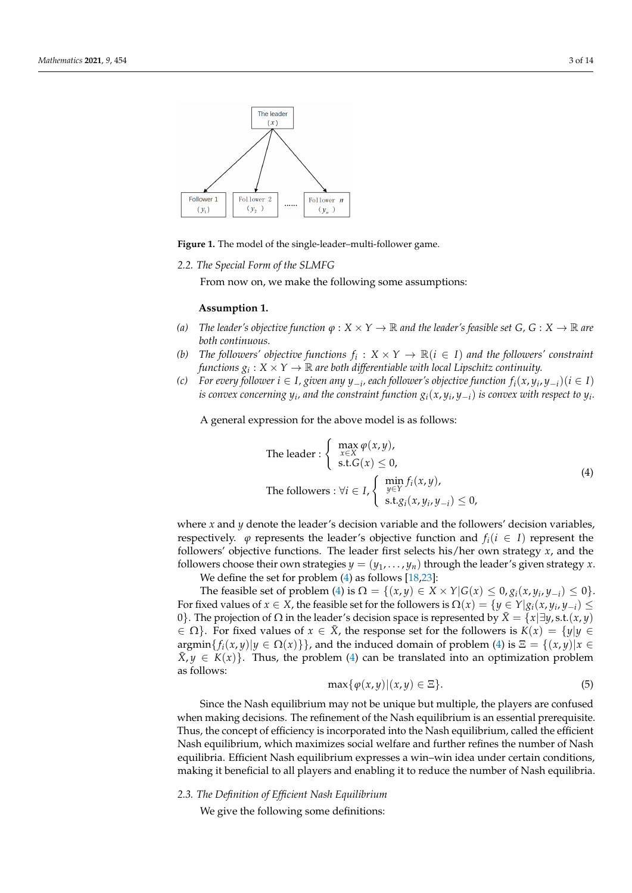<span id="page-2-0"></span>

**Figure 1.** The model of the single-leader–multi-follower game.

*2.2. The Special Form of the SLMFG*

From now on, we make the following some assumptions:

#### <span id="page-2-2"></span>**Assumption 1.**

- *(a) The leader's objective function*  $\varphi : X \times Y \to \mathbb{R}$  *and the leader's feasible set*  $G, G : X \to \mathbb{R}$  *are both continuous.*
- *(b) The followers' objective functions*  $f_i: X \times Y \rightarrow \mathbb{R}$  ( $i \in I$ ) *and the followers' constraint* functions  $g_i: X \times Y \to \mathbb{R}$  are both differentiable with local Lipschitz continuity.
- *(c)* For every follower  $i \in I$ , given any  $y_{-i}$ , each follower's objective function  $f_i(x, y_i, y_{-i})(i \in I)$  $i$ s convex concerning  $y_i$ , and the constraint function  $g_i(x,y_i,y_{-i})$  is convex with respect to  $y_i.$

A general expression for the above model is as follows:

<span id="page-2-1"></span>The leader : 
$$
\begin{cases} \max_{x \in X} \varphi(x, y), \\ \text{s.t.} G(x) \le 0, \\ \text{The follows : } \forall i \in I, \\ \begin{cases} \min_{y \in Y} f_i(x, y), \\ \text{s.t.} g_i(x, y_i, y_{-i}) \le 0, \end{cases} \end{cases}
$$
(4)

where *x* and *y* denote the leader's decision variable and the followers' decision variables, respectively.  $\varphi$  represents the leader's objective function and  $f_i(i \in I)$  represent the followers' objective functions. The leader first selects his/her own strategy *x*, and the followers choose their own strategies  $y = (y_1, \ldots, y_n)$  through the leader's given strategy x. We define the set for problem [\(4\)](#page-2-1) as follows [\[18](#page-13-14)[,23\]](#page-13-19):

The feasible set of problem [\(4\)](#page-2-1) is  $\Omega = \{(x, y) \in X \times Y | G(x) \leq 0, g_i(x, y_i, y_{-i}) \leq 0\}.$ For fixed values of  $x \in X$ , the feasible set for the followers is  $\Omega(x) = \{y \in Y | g_i(x, y_i, y_{-i}) \leq \Omega(x) \}$ 0}. The projection of Ω in the leader's decision space is represented by  $\bar{X} = \{x | \exists y, s.t. (x, y)$  $\in \Omega$ . For fixed values of  $x \in \overline{X}$ , the response set for the followers is  $K(x) = \{y | y \in X\}$  $\argmin\{f_i(x,y)|y \in \Omega(x)\}\}\$ , and the induced domain of problem [\(4\)](#page-2-1) is  $\Xi = \{(x,y)|x \in \Omega(x)\}\$  $\bar{X}, \gamma \in K(x)$ . Thus, the problem [\(4\)](#page-2-1) can be translated into an optimization problem as follows:

<span id="page-2-3"></span>
$$
\max\{\varphi(x,y)|(x,y)\in\Xi\}.\tag{5}
$$

Since the Nash equilibrium may not be unique but multiple, the players are confused when making decisions. The refinement of the Nash equilibrium is an essential prerequisite. Thus, the concept of efficiency is incorporated into the Nash equilibrium, called the efficient Nash equilibrium, which maximizes social welfare and further refines the number of Nash equilibria. Efficient Nash equilibrium expresses a win–win idea under certain conditions, making it beneficial to all players and enabling it to reduce the number of Nash equilibria.

# *2.3. The Definition of Efficient Nash Equilibrium*

We give the following some definitions: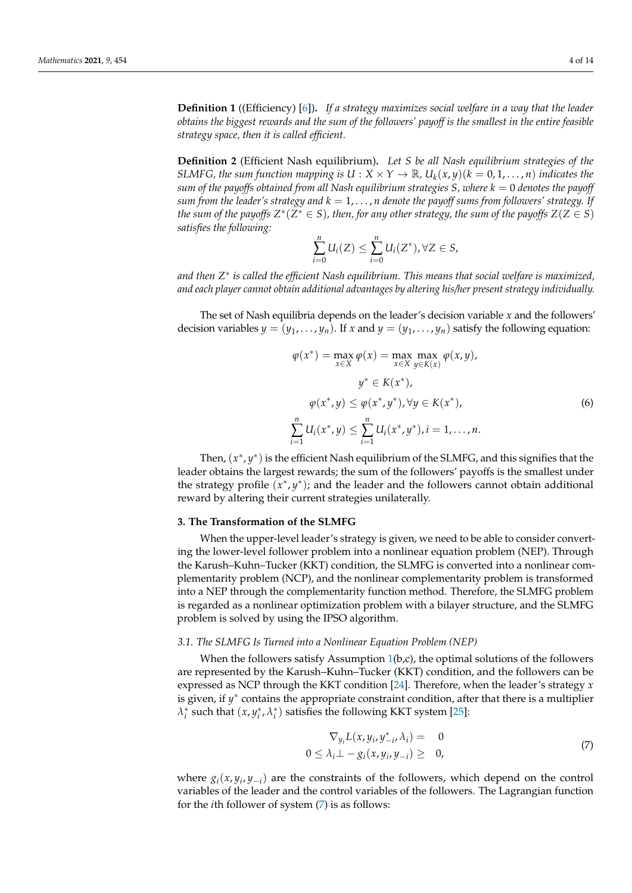<span id="page-3-4"></span>**Definition 1** ((Efficiency) [\[6\]](#page-13-2))**.** *If a strategy maximizes social welfare in a way that the leader obtains the biggest rewards and the sum of the followers' payoff is the smallest in the entire feasible strategy space, then it is called efficient.*

<span id="page-3-3"></span>**Definition 2** (Efficient Nash equilibrium)**.** *Let S be all Nash equilibrium strategies of the SLMFG, the sum function mapping is*  $U: X \times Y \to \mathbb{R}$ ,  $U_k(x, y)(k = 0, 1, ..., n)$  *indicates the sum of the payoffs obtained from all Nash equilibrium strategies*  $S$ , where  $k = 0$  denotes the payoff *sum from the leader's strategy and*  $k = 1, \ldots, n$  *denote the payoff sums from followers' strategy.* If *the sum of the payoffs*  $Z^*(Z^* \in S)$ *, then, for any other strategy, the sum of the payoffs*  $Z(Z \in S)$ *satisfies the following:*

$$
\sum_{i=0}^n U_i(Z) \leq \sum_{i=0}^n U_i(Z^*), \forall Z \in S,
$$

*and then Z* ∗ *is called the efficient Nash equilibrium. This means that social welfare is maximized, and each player cannot obtain additional advantages by altering his/her present strategy individually.*

The set of Nash equilibria depends on the leader's decision variable *x* and the followers' decision variables  $y = (y_1, \ldots, y_n)$ . If  $x$  and  $y = (y_1, \ldots, y_n)$  satisfy the following equation:

<span id="page-3-2"></span>
$$
\varphi(x^*) = \max_{x \in X} \varphi(x) = \max_{x \in X} \max_{y \in K(x)} \varphi(x, y),
$$
  

$$
y^* \in K(x^*),
$$
  

$$
\varphi(x^*, y) \le \varphi(x^*, y^*), \forall y \in K(x^*),
$$
  

$$
\sum_{i=1}^n U_i(x^*, y) \le \sum_{i=1}^n U_i(x^*, y^*), i = 1, ..., n.
$$
 (6)

Then,  $(x^*, y^*)$  is the efficient Nash equilibrium of the SLMFG, and this signifies that the leader obtains the largest rewards; the sum of the followers' payoffs is the smallest under the strategy profile  $(x^*, y^*)$ ; and the leader and the followers cannot obtain additional reward by altering their current strategies unilaterally.

## <span id="page-3-0"></span>**3. The Transformation of the SLMFG**

When the upper-level leader's strategy is given, we need to be able to consider converting the lower-level follower problem into a nonlinear equation problem (NEP). Through the Karush–Kuhn–Tucker (KKT) condition, the SLMFG is converted into a nonlinear complementarity problem (NCP), and the nonlinear complementarity problem is transformed into a NEP through the complementarity function method. Therefore, the SLMFG problem is regarded as a nonlinear optimization problem with a bilayer structure, and the SLMFG problem is solved by using the IPSO algorithm.

## *3.1. The SLMFG Is Turned into a Nonlinear Equation Problem (NEP)*

When the followers satisfy Assumption  $1(b,c)$  $1(b,c)$ , the optimal solutions of the followers are represented by the Karush–Kuhn–Tucker (KKT) condition, and the followers can be expressed as NCP through the KKT condition [\[24\]](#page-13-20). Therefore, when the leader's strategy *x* is given, if *y* ∗ contains the appropriate constraint condition, after that there is a multiplier  $\lambda_i^*$  such that  $(x, y_i^*, \lambda_i^*)$  satisfies the following KKT system [\[25\]](#page-13-21):

<span id="page-3-1"></span>
$$
\nabla_{y_i} L(x, y_i, y_{-i}^*, \lambda_i) = 0
$$
  
0 \le \lambda\_i \perp - g\_i(x, y\_i, y\_{-i}) \ge 0, (7)

where  $g_i(x, y_i, y_{-i})$  are the constraints of the followers, which depend on the control variables of the leader and the control variables of the followers. The Lagrangian function for the *i*th follower of system [\(7\)](#page-3-1) is as follows: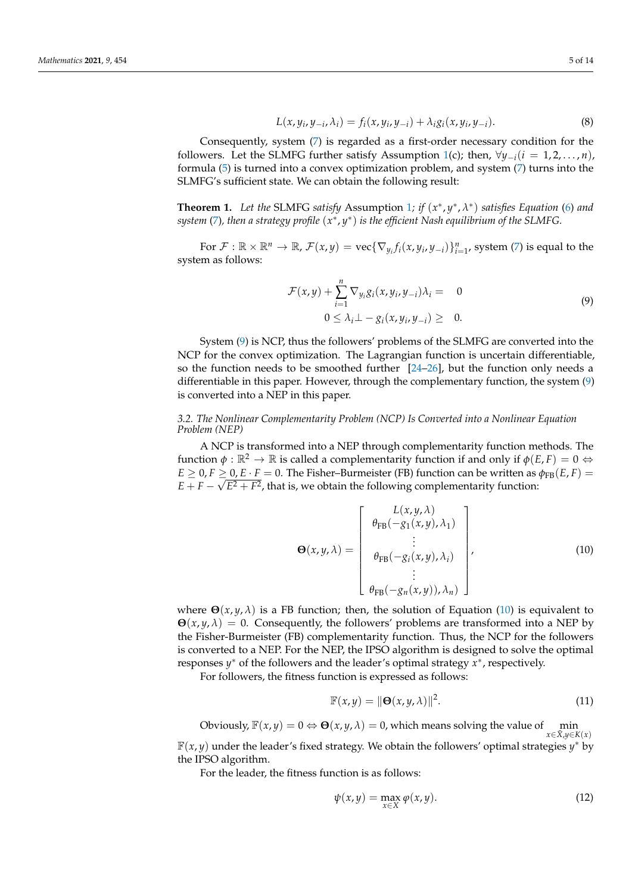$$
L(x, y_i, y_{-i}, \lambda_i) = f_i(x, y_i, y_{-i}) + \lambda_i g_i(x, y_i, y_{-i}).
$$
\n(8)

Consequently, system [\(7\)](#page-3-1) is regarded as a first-order necessary condition for the followers. Let the SLMFG further satisfy Assumption [1\(](#page-2-2)c); then,  $\forall y_{-i}(i = 1, 2, \ldots, n)$ , formula [\(5\)](#page-2-3) is turned into a convex optimization problem, and system [\(7\)](#page-3-1) turns into the SLMFG's sufficient state. We can obtain the following result:

**Theorem [1](#page-2-2).** Let the SLMFG satisfy Assumption 1; if  $(x^*, y^*, \lambda^*)$  satisfies Equation [\(6\)](#page-3-2) and *system* [\(7\)](#page-3-1)*, then a strategy profile* (*x* ∗ , *y* ∗ ) *is the efficient Nash equilibrium of the SLMFG.*

For  $\mathcal{F}: \mathbb{R} \times \mathbb{R}^n \to \mathbb{R}$ ,  $\mathcal{F}(x, y) = \text{vec}\{\nabla_{y_i} f_i(x, y_i, y_{-i})\}_{i=1}^n$ , system [\(7\)](#page-3-1) is equal to the system as follows:

<span id="page-4-0"></span>
$$
\mathcal{F}(x,y) + \sum_{i=1}^{n} \nabla_{y_i} g_i(x, y_i, y_{-i}) \lambda_i = 0
$$
  
0 \le \lambda\_i \perp - g\_i(x, y\_i, y\_{-i}) \ge 0. (9)

System [\(9\)](#page-4-0) is NCP, thus the followers' problems of the SLMFG are converted into the NCP for the convex optimization. The Lagrangian function is uncertain differentiable, so the function needs to be smoothed further  $[24–26]$  $[24–26]$ , but the function only needs a differentiable in this paper. However, through the complementary function, the system [\(9\)](#page-4-0) is converted into a NEP in this paper.

# *3.2. The Nonlinear Complementarity Problem (NCP) Is Converted into a Nonlinear Equation Problem (NEP)*

A NCP is transformed into a NEP through complementarity function methods. The function  $\phi : \mathbb{R}^2 \to \mathbb{R}$  is called a complementarity function if and only if  $\phi(E, F) = 0 \Leftrightarrow$  $E \ge 0, F \ge 0, E \cdot F = 0$ . The Fisher–Burmeister (FB) function can be written as  $\phi_{FB}(E, F) =$  $E+F-\sqrt{E^2+F^2}$ , that is, we obtain the following complementarity function:

<span id="page-4-1"></span>
$$
\Theta(x, y, \lambda) = \begin{bmatrix} L(x, y, \lambda) \\ \theta_{\text{FB}}(-g_1(x, y), \lambda_1) \\ \vdots \\ \theta_{\text{FB}}(-g_i(x, y), \lambda_i) \\ \vdots \\ \theta_{\text{FB}}(-g_n(x, y)), \lambda_n) \end{bmatrix},
$$
(10)

where  $\Theta(x, y, \lambda)$  is a FB function; then, the solution of Equation [\(10\)](#page-4-1) is equivalent to  $\Theta(x, y, \lambda) = 0$ . Consequently, the followers' problems are transformed into a NEP by the Fisher-Burmeister (FB) complementarity function. Thus, the NCP for the followers is converted to a NEP. For the NEP, the IPSO algorithm is designed to solve the optimal responses *y*<sup>\*</sup> of the followers and the leader's optimal strategy *x*<sup>\*</sup>, respectively.

For followers, the fitness function is expressed as follows:

$$
\mathbb{F}(x,y) = \|\mathbf{\Theta}(x,y,\lambda)\|^2. \tag{11}
$$

Obviously,  $\mathbb{F}(x, y) = 0 \Leftrightarrow \mathbf{\Theta}(x, y, \lambda) = 0$ , which means solving the value of min  $x \in \bar{X}$ , $y \in K(x)$ 

F(*x*, *y*) under the leader's fixed strategy. We obtain the followers' optimal strategies *y* <sup>∗</sup> by the IPSO algorithm.

For the leader, the fitness function is as follows:

$$
\psi(x,y) = \max_{x \in X} \varphi(x,y). \tag{12}
$$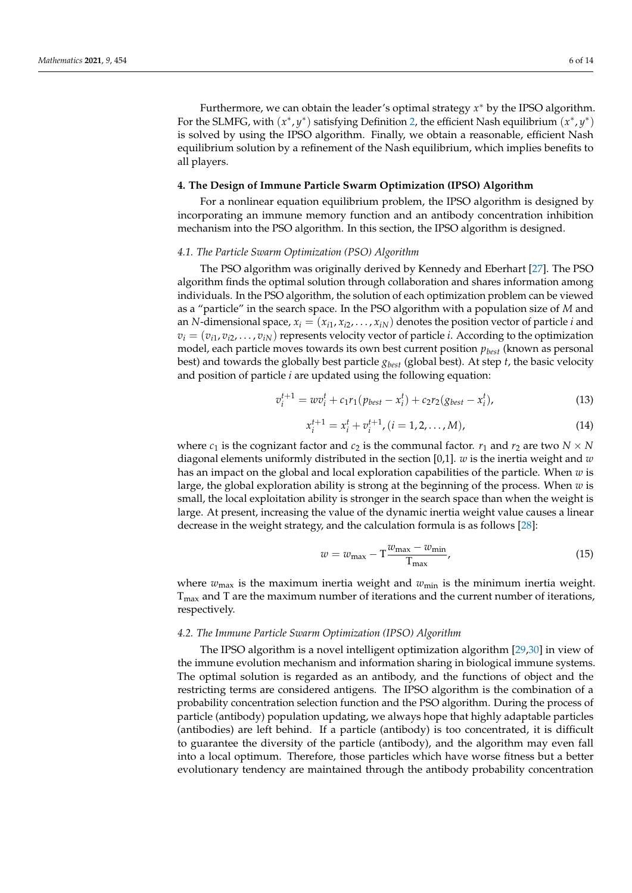Furthermore, we can obtain the leader's optimal strategy *x* <sup>∗</sup> by the IPSO algorithm. For the SLMFG, with  $(x^*, y^*)$  satisfying Definition [2,](#page-3-3) the efficient Nash equilibrium  $(x^*, y^*)$ is solved by using the IPSO algorithm. Finally, we obtain a reasonable, efficient Nash equilibrium solution by a refinement of the Nash equilibrium, which implies benefits to all players.

## <span id="page-5-0"></span>**4. The Design of Immune Particle Swarm Optimization (IPSO) Algorithm**

For a nonlinear equation equilibrium problem, the IPSO algorithm is designed by incorporating an immune memory function and an antibody concentration inhibition mechanism into the PSO algorithm. In this section, the IPSO algorithm is designed.

## *4.1. The Particle Swarm Optimization (PSO) Algorithm*

The PSO algorithm was originally derived by Kennedy and Eberhart [\[27\]](#page-13-23). The PSO algorithm finds the optimal solution through collaboration and shares information among individuals. In the PSO algorithm, the solution of each optimization problem can be viewed as a "particle" in the search space. In the PSO algorithm with a population size of *M* and an *N*-dimensional space,  $x_i = (x_{i1}, x_{i2}, \ldots, x_{iN})$  denotes the position vector of particle *i* and  $v_i = (v_{i1}, v_{i2}, \dots, v_{iN})$  represents velocity vector of particle *i*. According to the optimization model, each particle moves towards its own best current position *pbest* (known as personal best) and towards the globally best particle *gbest* (global best). At step *t*, the basic velocity and position of particle *i* are updated using the following equation:

<span id="page-5-2"></span>
$$
v_i^{t+1} = w v_i^t + c_1 r_1 (p_{best} - x_i^t) + c_2 r_2 (g_{best} - x_i^t),
$$
\n(13)

<span id="page-5-3"></span>
$$
x_i^{t+1} = x_i^t + v_i^{t+1}, (i = 1, 2, ..., M),
$$
\n(14)

where  $c_1$  is the cognizant factor and  $c_2$  is the communal factor.  $r_1$  and  $r_2$  are two  $N \times N$ diagonal elements uniformly distributed in the section [0,1]. *w* is the inertia weight and *w* has an impact on the global and local exploration capabilities of the particle. When *w* is large, the global exploration ability is strong at the beginning of the process. When *w* is small, the local exploitation ability is stronger in the search space than when the weight is large. At present, increasing the value of the dynamic inertia weight value causes a linear decrease in the weight strategy, and the calculation formula is as follows [\[28\]](#page-13-24):

<span id="page-5-1"></span>
$$
w = w_{\text{max}} - T \frac{w_{\text{max}} - w_{\text{min}}}{T_{\text{max}}},
$$
\n(15)

where  $w_{\text{max}}$  is the maximum inertia weight and  $w_{\text{min}}$  is the minimum inertia weight.  $T_{\text{max}}$  and T are the maximum number of iterations and the current number of iterations, respectively.

# *4.2. The Immune Particle Swarm Optimization (IPSO) Algorithm*

The IPSO algorithm is a novel intelligent optimization algorithm [\[29](#page-13-25)[,30\]](#page-13-26) in view of the immune evolution mechanism and information sharing in biological immune systems. The optimal solution is regarded as an antibody, and the functions of object and the restricting terms are considered antigens. The IPSO algorithm is the combination of a probability concentration selection function and the PSO algorithm. During the process of particle (antibody) population updating, we always hope that highly adaptable particles (antibodies) are left behind. If a particle (antibody) is too concentrated, it is difficult to guarantee the diversity of the particle (antibody), and the algorithm may even fall into a local optimum. Therefore, those particles which have worse fitness but a better evolutionary tendency are maintained through the antibody probability concentration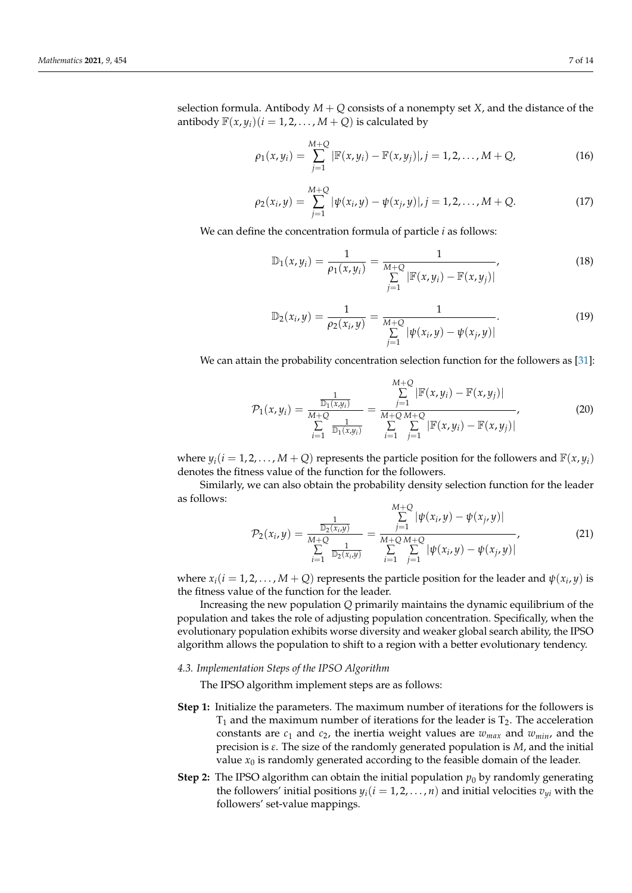selection formula. Antibody  $M + Q$  consists of a nonempty set *X*, and the distance of the antibody  $\mathbb{F}(x, y_i)(i = 1, 2, \dots, M + Q)$  is calculated by

$$
\rho_1(x, y_i) = \sum_{j=1}^{M+Q} |\mathbb{F}(x, y_i) - \mathbb{F}(x, y_j)|, j = 1, 2, ..., M + Q,
$$
\n(16)

$$
\rho_2(x_i, y) = \sum_{j=1}^{M+Q} |\psi(x_i, y) - \psi(x_j, y)|, j = 1, 2, ..., M + Q.
$$
 (17)

We can define the concentration formula of particle *i* as follows:

$$
\mathbb{D}_1(x, y_i) = \frac{1}{\rho_1(x, y_i)} = \frac{1}{\sum_{j=1}^{M+Q} |\mathbb{F}(x, y_i) - \mathbb{F}(x, y_j)|},
$$
(18)

$$
\mathbb{D}_2(x_i, y) = \frac{1}{\rho_2(x_i, y)} = \frac{1}{\sum_{j=1}^{M+Q} |\psi(x_i, y) - \psi(x_j, y)|}.
$$
 (19)

We can attain the probability concentration selection function for the followers as [\[31\]](#page-13-27):

<span id="page-6-0"></span>
$$
\mathcal{P}_1(x, y_i) = \frac{\frac{1}{\mathbb{D}_1(x, y_i)}}{\sum_{i=1}^{M+\mathcal{Q}} \frac{1}{\mathbb{D}_1(x, y_i)}} = \frac{\sum_{j=1}^{M+\mathcal{Q}} |\mathbb{F}(x, y_i) - \mathbb{F}(x, y_j)|}{\sum_{i=1}^{M+\mathcal{Q}} \sum_{j=1}^{M+\mathcal{Q}} |\mathbb{F}(x, y_i) - \mathbb{F}(x, y_j)|},
$$
(20)

where  $y_i(i = 1, 2, \ldots, M + Q)$  represents the particle position for the followers and  $\mathbb{F}(x, y_i)$ denotes the fitness value of the function for the followers.

Similarly, we can also obtain the probability density selection function for the leader as follows: *M*+*Q*

<span id="page-6-1"></span>
$$
\mathcal{P}_2(x_i, y) = \frac{\frac{1}{\mathbb{D}_2(x_i, y)}}{\sum_{i=1}^{M+Q} \frac{1}{\mathbb{D}_2(x_i, y)}} = \frac{\sum_{j=1}^{M+Q} |\psi(x_i, y) - \psi(x_j, y)|}{\sum_{i=1}^{M+Q} \sum_{j=1}^{M+Q} |\psi(x_i, y) - \psi(x_j, y)|},
$$
(21)

where  $x_i$  ( $i = 1, 2, ..., M + Q$ ) represents the particle position for the leader and  $\psi(x_i, y)$  is the fitness value of the function for the leader.

Increasing the new population *Q* primarily maintains the dynamic equilibrium of the population and takes the role of adjusting population concentration. Specifically, when the evolutionary population exhibits worse diversity and weaker global search ability, the IPSO algorithm allows the population to shift to a region with a better evolutionary tendency.

# *4.3. Implementation Steps of the IPSO Algorithm*

The IPSO algorithm implement steps are as follows:

- **Step 1:** Initialize the parameters. The maximum number of iterations for the followers is  $T_1$  and the maximum number of iterations for the leader is  $T_2$ . The acceleration constants are  $c_1$  and  $c_2$ , the inertia weight values are  $w_{max}$  and  $w_{min}$ , and the precision is *ε*. The size of the randomly generated population is *M*, and the initial value  $x_0$  is randomly generated according to the feasible domain of the leader.
- **Step 2:** The IPSO algorithm can obtain the initial population  $p_0$  by randomly generating the followers' initial positions  $y_i(i = 1, 2, ..., n)$  and initial velocities  $v_{yi}$  with the followers' set-value mappings.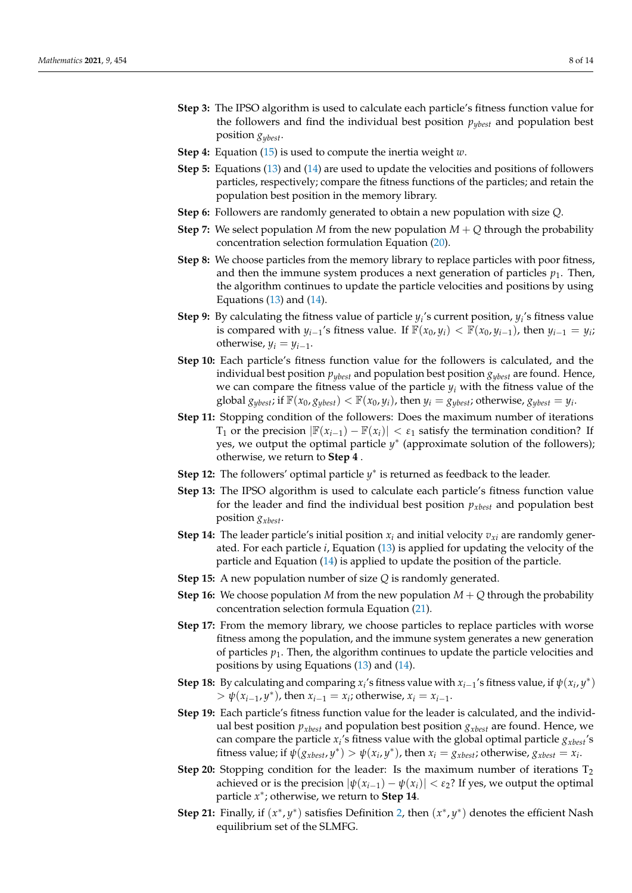- **Step 3:** The IPSO algorithm is used to calculate each particle's fitness function value for the followers and find the individual best position  $p_{\text{wbest}}$  and population best position *gybest*.
- **Step 4:** Equation [\(15\)](#page-5-1) is used to compute the inertia weight *w*.
- **Step 5:** Equations [\(13\)](#page-5-2) and [\(14\)](#page-5-3) are used to update the velocities and positions of followers particles, respectively; compare the fitness functions of the particles; and retain the population best position in the memory library.
- **Step 6:** Followers are randomly generated to obtain a new population with size *Q*.
- **Step 7:** We select population *M* from the new population  $M + Q$  through the probability concentration selection formulation Equation [\(20\)](#page-6-0).
- **Step 8:** We choose particles from the memory library to replace particles with poor fitness, and then the immune system produces a next generation of particles  $p_1$ . Then, the algorithm continues to update the particle velocities and positions by using Equations  $(13)$  and  $(14)$ .
- **Step 9:** By calculating the fitness value of particle *y<sup>i</sup>* 's current position, *y<sup>i</sup>* 's fitness value is compared with *y*<sub>*i*−1</sub>'s fitness value. If  $\mathbb{F}(x_0, y_i) < \mathbb{F}(x_0, y_{i-1})$ , then  $y_{i-1} = y_i$ ; otherwise,  $y_i = y_{i-1}$ .
- **Step 10:** Each particle's fitness function value for the followers is calculated, and the individual best position  $p_{\textit{vbest}}$  and population best position  $g_{\textit{vbest}}$  are found. Hence, we can compare the fitness value of the particle  $y_i$  with the fitness value of the global  $g_{ybest}$ ; if  $\mathbb{F}(x_0, g_{ybest}) < \mathbb{F}(x_0, y_i)$ , then  $y_i = g_{ybest}$ ; otherwise,  $g_{ybest} = y_i$ .
- **Step 11:** Stopping condition of the followers: Does the maximum number of iterations  $T_1$  or the precision  $\left| \mathbb{F}(x_{i-1}) - \mathbb{F}(x_i) \right| < \varepsilon_1$  satisfy the termination condition? If yes, we output the optimal particle *y* ∗ (approximate solution of the followers); otherwise, we return to **Step 4** .
- **Step 12:** The followers' optimal particle  $y^*$  is returned as feedback to the leader.
- **Step 13:** The IPSO algorithm is used to calculate each particle's fitness function value for the leader and find the individual best position  $p_{xbest}$  and population best position *gxbest*.
- **Step 14:** The leader particle's initial position  $x_i$  and initial velocity  $v_{xi}$  are randomly generated. For each particle *i*, Equation [\(13\)](#page-5-2) is applied for updating the velocity of the particle and Equation [\(14\)](#page-5-3) is applied to update the position of the particle.
- **Step 15:** A new population number of size *Q* is randomly generated.
- **Step 16:** We choose population *M* from the new population  $M + Q$  through the probability concentration selection formula Equation [\(21\)](#page-6-1).
- **Step 17:** From the memory library, we choose particles to replace particles with worse fitness among the population, and the immune system generates a new generation of particles  $p_1$ . Then, the algorithm continues to update the particle velocities and positions by using Equations [\(13\)](#page-5-2) and [\(14\)](#page-5-3).
- **Step 18:** By calculating and comparing  $x_i$ 's fitness value with  $x_{i-1}$ 's fitness value, if  $\psi(x_i, y^*)$  $> \psi(x_{i-1}, y^*)$ , then  $x_{i-1} = x_i$ ; otherwise,  $x_i = x_{i-1}$ .
- **Step 19:** Each particle's fitness function value for the leader is calculated, and the individual best position  $p_{\text{x}best}$  and population best position  $g_{\text{x}best}$  are found. Hence, we can compare the particle *x<sup>i</sup>* 's fitness value with the global optimal particle *gxbest*'s fitness value; if  $\psi(g_{\text{xbest}}, y^*) > \psi(x_i, y^*)$ , then  $x_i = g_{\text{xbest}}$ ; otherwise,  $g_{\text{xbest}} = x_i$ .
- **Step 20:** Stopping condition for the leader: Is the maximum number of iterations T<sup>2</sup> achieved or is the precision  $|\psi(x_{i-1}) - \psi(x_i)| < \varepsilon_2$ ? If yes, we output the optimal particle *x* ∗ ; otherwise, we return to **Step 14**.
- **Step 21:** Finally, if  $(x^*, y^*)$  satisfies Definition [2,](#page-3-3) then  $(x^*, y^*)$  denotes the efficient Nash equilibrium set of the SLMFG.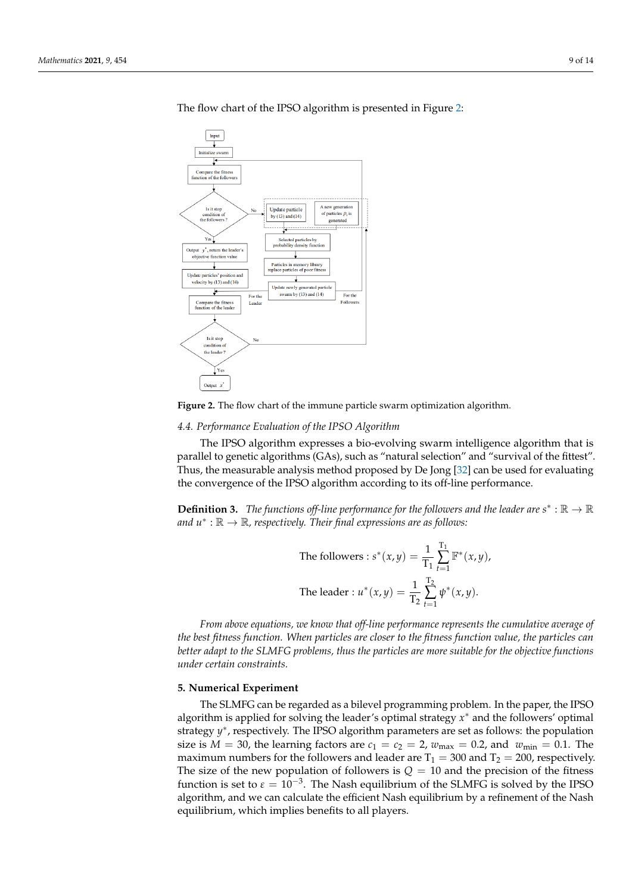<span id="page-8-1"></span>

The flow chart of the IPSO algorithm is presented in Figure [2:](#page-8-1)

**Figure 2.** The flow chart of the immune particle swarm optimization algorithm.

*4.4. Performance Evaluation of the IPSO Algorithm*

The IPSO algorithm expresses a bio-evolving swarm intelligence algorithm that is parallel to genetic algorithms (GAs), such as "natural selection" and "survival of the fittest". Thus, the measurable analysis method proposed by De Jong [\[32\]](#page-13-28) can be used for evaluating the convergence of the IPSO algorithm according to its off-line performance.

**Definition 3.** The functions off-line performance for the followers and the leader are  $s^*$  :  $\mathbb{R} \to \mathbb{R}$ *and u*<sup>∗</sup> : R → R*, respectively. Their final expressions are as follows:*

The follows: 
$$
s^*(x, y) = \frac{1}{T_1} \sum_{t=1}^{T_1} \mathbb{F}^*(x, y)
$$
,  
The leader :  $u^*(x, y) = \frac{1}{T_2} \sum_{t=1}^{T_2} \psi^*(x, y)$ .

*From above equations, we know that off-line performance represents the cumulative average of the best fitness function. When particles are closer to the fitness function value, the particles can better adapt to the SLMFG problems, thus the particles are more suitable for the objective functions under certain constraints.*

## <span id="page-8-0"></span>**5. Numerical Experiment**

The SLMFG can be regarded as a bilevel programming problem. In the paper, the IPSO algorithm is applied for solving the leader's optimal strategy *x* <sup>∗</sup> and the followers' optimal strategy y<sup>\*</sup>, respectively. The IPSO algorithm parameters are set as follows: the population size is  $M = 30$ , the learning factors are  $c_1 = c_2 = 2$ ,  $w_{\text{max}} = 0.2$ , and  $w_{\text{min}} = 0.1$ . The maximum numbers for the followers and leader are  $T_1 = 300$  and  $T_2 = 200$ , respectively. The size of the new population of followers is  $Q = 10$  and the precision of the fitness function is set to  $\varepsilon = 10^{-3}$ . The Nash equilibrium of the SLMFG is solved by the IPSO algorithm, and we can calculate the efficient Nash equilibrium by a refinement of the Nash equilibrium, which implies benefits to all players.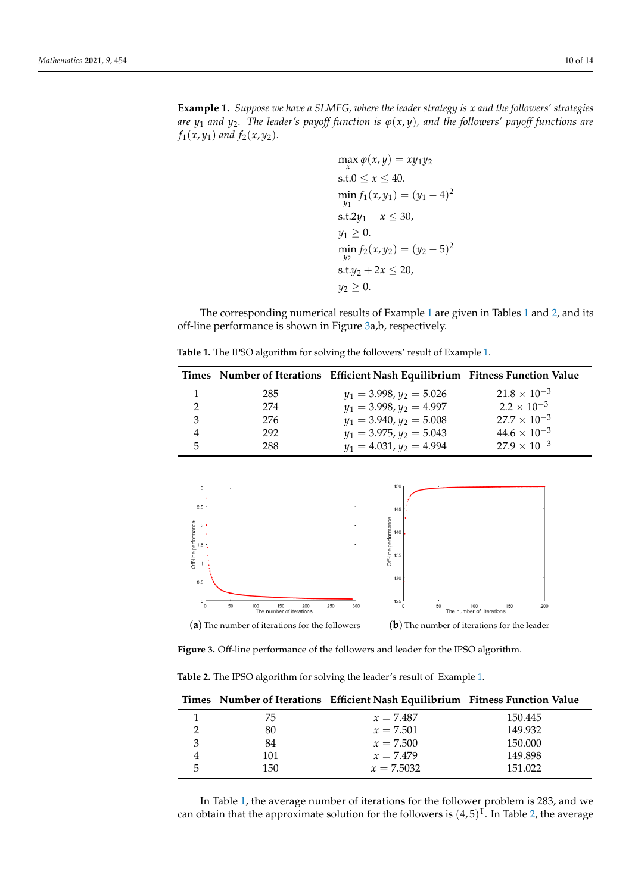<span id="page-9-0"></span>**Example 1.** *Suppose we have a SLMFG, where the leader strategy is x and the followers' strategies are*  $y_1$  *and*  $y_2$ . The leader's payoff function is  $\varphi(x, y)$ , and the followers' payoff functions are *f*<sub>1</sub>(*x*, *y*<sub>1</sub>) *and f*<sub>2</sub>(*x*, *y*<sub>2</sub>).

$$
\max_{x} \varphi(x, y) = xy_1y_2
$$
  
s.t.  $0 \le x \le 40$ .  

$$
\min_{y_1} f_1(x, y_1) = (y_1 - 4)^2
$$
  
s.t.  $2y_1 + x \le 30$ ,  
 $y_1 \ge 0$ .  

$$
\min_{y_2} f_2(x, y_2) = (y_2 - 5)^2
$$
  
s.t.  $y_2 + 2x \le 20$ ,  
 $y_2 \ge 0$ .

The corresponding numerical results of Example [1](#page-9-0) are given in Tables [1](#page-9-1) and [2,](#page-9-2) and its off-line performance is shown in Figure [3a](#page-9-3),b, respectively.

<span id="page-9-1"></span>**Table 1.** The IPSO algorithm for solving the followers' result of Example [1.](#page-9-0)

|   |     | Times Number of Iterations Efficient Nash Equilibrium Fitness Function Value |                       |
|---|-----|------------------------------------------------------------------------------|-----------------------|
|   | 285 | $y_1 = 3.998, y_2 = 5.026$                                                   | $21.8 \times 10^{-3}$ |
|   | 274 | $y_1 = 3.998, y_2 = 4.997$                                                   | $2.2 \times 10^{-3}$  |
|   | 276 | $y_1 = 3.940, y_2 = 5.008$                                                   | $27.7 \times 10^{-3}$ |
|   | 292 | $y_1 = 3.975, y_2 = 5.043$                                                   | $44.6 \times 10^{-3}$ |
| 5 | 288 | $y_1 = 4.031, y_2 = 4.994$                                                   | $27.9 \times 10^{-3}$ |

<span id="page-9-3"></span>

**Figure 3.** Off-line performance of the followers and leader for the IPSO algorithm.

<span id="page-9-2"></span>**Table 2.** The IPSO algorithm for solving the leader's result of Example [1.](#page-9-0)

|    |     | Times Number of Iterations Efficient Nash Equilibrium Fitness Function Value |         |
|----|-----|------------------------------------------------------------------------------|---------|
|    | 75  | $x = 7.487$                                                                  | 150.445 |
|    | 80  | $x = 7.501$                                                                  | 149.932 |
|    | 84  | $x = 7.500$                                                                  | 150.000 |
|    | 101 | $x = 7.479$                                                                  | 149.898 |
| г, | 150 | $x = 7.5032$                                                                 | 151.022 |

In Table [1,](#page-9-1) the average number of iterations for the follower problem is 283, and we can obtain that the approximate solution for the followers is  $(4,5)^T$ . In Table [2,](#page-9-2) the average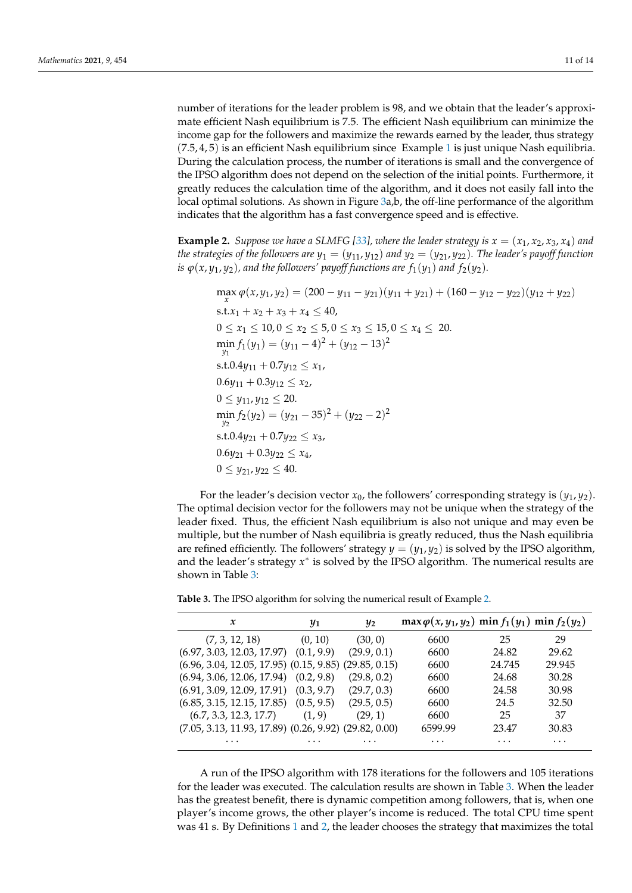number of iterations for the leader problem is 98, and we obtain that the leader's approximate efficient Nash equilibrium is 7.5. The efficient Nash equilibrium can minimize the income gap for the followers and maximize the rewards earned by the leader, thus strategy  $(7.5, 4, 5)$  is an efficient Nash equilibrium since Example [1](#page-9-0) is just unique Nash equilibria. During the calculation process, the number of iterations is small and the convergence of the IPSO algorithm does not depend on the selection of the initial points. Furthermore, it greatly reduces the calculation time of the algorithm, and it does not easily fall into the local optimal solutions. As shown in Figure [3a](#page-9-3),b, the off-line performance of the algorithm indicates that the algorithm has a fast convergence speed and is effective.

<span id="page-10-1"></span>**Example 2.** *Suppose we have a SLMFG [\[33\]](#page-13-29), where the leader strategy is*  $x = (x_1, x_2, x_3, x_4)$  *and the strategies of the followers are*  $y_1 = (y_{11}, y_{12})$  *and*  $y_2 = (y_{21}, y_{22})$ *. The leader's payoff function is*  $\varphi(x, y_1, y_2)$ , and the followers' payoff functions are  $f_1(y_1)$  and  $f_2(y_2)$ .

$$
\max_{x} \varphi(x, y_1, y_2) = (200 - y_{11} - y_{21})(y_{11} + y_{21}) + (160 - y_{12} - y_{22})(y_{12} + y_{22})
$$
  
s.t.  $x_1 + x_2 + x_3 + x_4 \le 40$ ,  
 $0 \le x_1 \le 10, 0 \le x_2 \le 5, 0 \le x_3 \le 15, 0 \le x_4 \le 20$ .  

$$
\min_{y_1} f_1(y_1) = (y_{11} - 4)^2 + (y_{12} - 13)^2
$$
s.t. 0.4 $y_{11} + 0.7y_{12} \le x_1$ ,  
 $0.6y_{11} + 0.3y_{12} \le x_2$ ,  
 $0 \le y_{11}, y_{12} \le 20$ .  

$$
\min_{y_2} f_2(y_2) = (y_{21} - 35)^2 + (y_{22} - 2)^2
$$
s.t. 0.4 $y_{21} + 0.7y_{22} \le x_3$ ,  
 $0.6y_{21} + 0.3y_{22} \le x_4$ ,  
 $0 \le y_{21}, y_{22} \le 40$ .

For the leader's decision vector  $x_0$ , the followers' corresponding strategy is  $(y_1, y_2)$ . The optimal decision vector for the followers may not be unique when the strategy of the leader fixed. Thus, the efficient Nash equilibrium is also not unique and may even be multiple, but the number of Nash equilibria is greatly reduced, thus the Nash equilibria are refined efficiently. The followers' strategy  $y = (y_1, y_2)$  is solved by the IPSO algorithm, and the leader's strategy  $x^*$  is solved by the IPSO algorithm. The numerical results are shown in Table [3:](#page-10-0)

| x                                                           | $y_1$      | $y_2$       | $\max \varphi(x, y_1, y_2)$ min $f_1(y_1)$ min $f_2(y_2)$ |        |          |
|-------------------------------------------------------------|------------|-------------|-----------------------------------------------------------|--------|----------|
| (7, 3, 12, 18)                                              | (0, 10)    | (30, 0)     | 6600                                                      | 25     | 29       |
| $(6.97, 3.03, 12.03, 17.97)$ $(0.1, 9.9)$                   |            | (29.9, 0.1) | 6600                                                      | 24.82  | 29.62    |
| $(6.96, 3.04, 12.05, 17.95)$ $(0.15, 9.85)$ $(29.85, 0.15)$ |            |             | 6600                                                      | 24.745 | 29.945   |
| $(6.94, 3.06, 12.06, 17.94)$ $(0.2, 9.8)$                   |            | (29.8, 0.2) | 6600                                                      | 24.68  | 30.28    |
| (6.91, 3.09, 12.09, 17.91)                                  | (0.3, 9.7) | (29.7, 0.3) | 6600                                                      | 24.58  | 30.98    |
| (6.85, 3.15, 12.15, 17.85)                                  | (0.5, 9.5) | (29.5, 0.5) | 6600                                                      | 24.5   | 32.50    |
| (6.7, 3.3, 12.3, 17.7)                                      | (1, 9)     | (29, 1)     | 6600                                                      | 25     | 37       |
| $(7.05, 3.13, 11.93, 17.89)$ $(0.26, 9.92)$ $(29.82, 0.00)$ |            |             | 6599.99                                                   | 23.47  | 30.83    |
| $\cdots$                                                    | .          | .           | $\cdots$                                                  | .      | $\cdots$ |

<span id="page-10-0"></span>**Table 3.** The IPSO algorithm for solving the numerical result of Example [2.](#page-10-1)

A run of the IPSO algorithm with 178 iterations for the followers and 105 iterations for the leader was executed. The calculation results are shown in Table [3.](#page-10-0) When the leader has the greatest benefit, there is dynamic competition among followers, that is, when one player's income grows, the other player's income is reduced. The total CPU time spent was 41 s. By Definitions [1](#page-3-4) and [2,](#page-3-3) the leader chooses the strategy that maximizes the total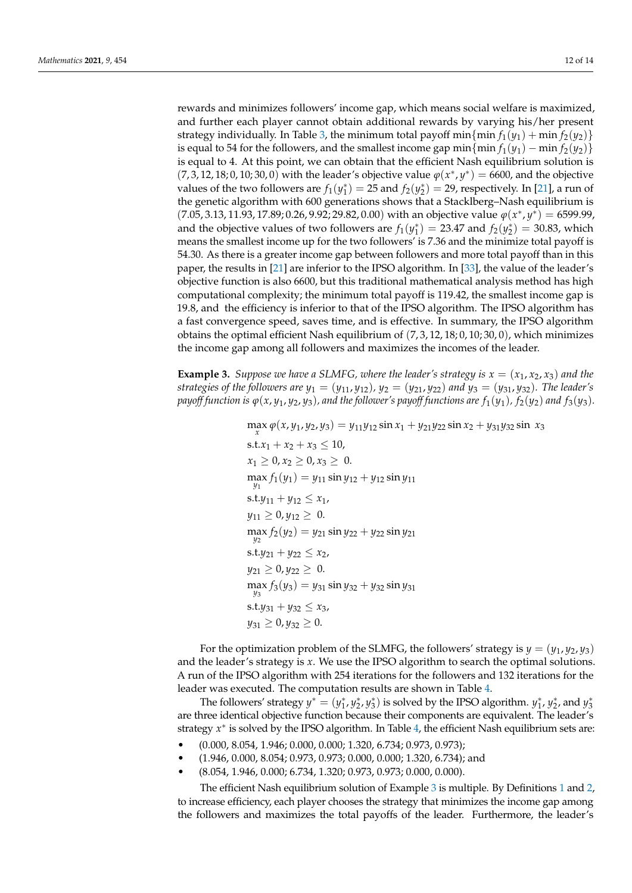rewards and minimizes followers' income gap, which means social welfare is maximized, and further each player cannot obtain additional rewards by varying his/her present strategy individually. In Table [3,](#page-10-0) the minimum total payoff min $\{ \min \{ \min f_1(y_1) + \min f_2(y_2) \}$ is equal to 54 for the followers, and the smallest income gap min $\{\min f_1(y_1) - \min f_2(y_2)\}\$ is equal to 4. At this point, we can obtain that the efficient Nash equilibrium solution is  $(7, 3, 12, 18, 0, 10, 30, 0)$  with the leader's objective value  $\varphi(x^*, y^*) = 6600$ , and the objective values of the two followers are  $f_1(y_1^*) = 25$  and  $f_2(y_2^*) = 29$ , respectively. In [\[21\]](#page-13-17), a run of the genetic algorithm with 600 generations shows that a Stacklberg–Nash equilibrium is  $(7.05, 3.13, 11.93, 17.89, 0.26, 9.92, 29.82, 0.00)$  with an objective value  $\varphi(x^*, y^*) = 6599.99$ , and the objective values of two followers are  $f_1(y_1^*) = 23.47$  and  $f_2(y_2^*) = 30.83$ , which means the smallest income up for the two followers' is 7.36 and the minimize total payoff is 54.30. As there is a greater income gap between followers and more total payoff than in this paper, the results in [\[21\]](#page-13-17) are inferior to the IPSO algorithm. In [\[33\]](#page-13-29), the value of the leader's objective function is also 6600, but this traditional mathematical analysis method has high computational complexity; the minimum total payoff is 119.42, the smallest income gap is 19.8, and the efficiency is inferior to that of the IPSO algorithm. The IPSO algorithm has a fast convergence speed, saves time, and is effective. In summary, the IPSO algorithm obtains the optimal efficient Nash equilibrium of  $(7, 3, 12, 18, 0, 10, 30, 0)$ , which minimizes the income gap among all followers and maximizes the incomes of the leader.

<span id="page-11-0"></span>**Example 3.** *Suppose we have a SLMFG, where the leader's strategy is*  $x = (x_1, x_2, x_3)$  *and the strategies of the followers are*  $y_1 = (y_{11}, y_{12})$ ,  $y_2 = (y_{21}, y_{22})$  *and*  $y_3 = (y_{31}, y_{32})$ . *The leader's payoff function is*  $\varphi(x, y_1, y_2, y_3)$ *, and the follower's payoff functions are*  $f_1(y_1)$ *,*  $f_2(y_2)$  *and*  $f_3(y_3)$ *.* 

 $\max_{x} \varphi(x, y_1, y_2, y_3) = y_{11}y_{12} \sin x_1 + y_{21}y_{22} \sin x_2 + y_{31}y_{32} \sin x_3$ 

s.t. $x_1 + x_2 + x_3 \le 10$ ,  $x_1 \geq 0, x_2 \geq 0, x_3 \geq 0.$  $\max_{y_1} f_1(y_1) = y_{11} \sin y_{12} + y_{12} \sin y_{11}$ s.t. $y_{11} + y_{12} \leq x_1$ ,  $y_{11} \geq 0, y_{12} \geq 0.$  $\max_{y_2} f_2(y_2) = y_{21} \sin y_{22} + y_{22} \sin y_{21}$ s.t. $y_{21} + y_{22} \leq x_2$ ,  $y_{21} \geq 0, y_{22} \geq 0.$  $\max_{y_3} f_3(y_3) = y_{31} \sin y_{32} + y_{32} \sin y_{31}$ s.t. $y_{31} + y_{32} \le x_3$ ,  $y_{31} \geq 0, y_{32} \geq 0.$ 

For the optimization problem of the SLMFG, the followers' strategy is  $y = (y_1, y_2, y_3)$ and the leader's strategy is *x*. We use the IPSO algorithm to search the optimal solutions. A run of the IPSO algorithm with 254 iterations for the followers and 132 iterations for the leader was executed. The computation results are shown in Table [4.](#page-12-3)

The followers' strategy  $y^* = (y_1^*, y_2^*, y_3^*)$  is solved by the IPSO algorithm.  $y_1^*, y_2^*$ , and  $y_3^*$ are three identical objective function because their components are equivalent. The leader's strategy *x*<sup>\*</sup> is solved by the IPSO algorithm. In Table [4,](#page-12-3) the efficient Nash equilibrium sets are:

- (0.000, 8.054, 1.946; 0.000, 0.000; 1.320, 6.734; 0.973, 0.973);
- (1.946, 0.000, 8.054; 0.973, 0.973; 0.000, 0.000; 1.320, 6.734); and
- (8.054, 1.946, 0.000; 6.734, 1.320; 0.973, 0.973; 0.000, 0.000).

The efficient Nash equilibrium solution of Example [3](#page-11-0) is multiple. By Definitions [1](#page-3-4) and [2,](#page-3-3) to increase efficiency, each player chooses the strategy that minimizes the income gap among the followers and maximizes the total payoffs of the leader. Furthermore, the leader's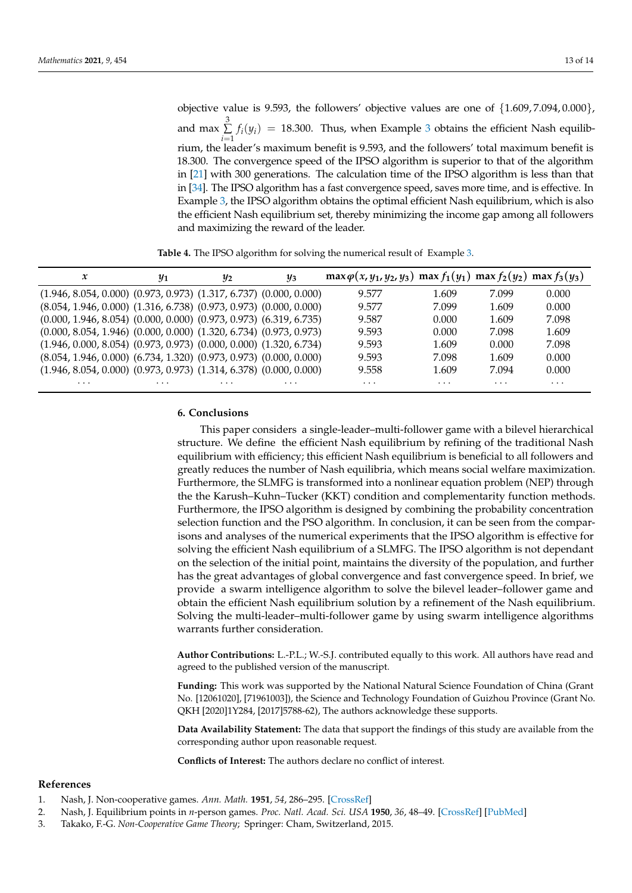objective value is 9.593, the followers' objective values are one of {1.609, 7.094, 0.000}, and max  $\sum_{i=1}^{3} f_i(y_i) = 18.300$  $\sum_{i=1}^{3} f_i(y_i) = 18.300$  $\sum_{i=1}^{3} f_i(y_i) = 18.300$ . Thus, when Example 3 obtains the efficient Nash equilib*i*=1 rium, the leader's maximum benefit is 9.593, and the followers' total maximum benefit is 18.300. The convergence speed of the IPSO algorithm is superior to that of the algorithm in [\[21\]](#page-13-17) with 300 generations. The calculation time of the IPSO algorithm is less than that in [\[34\]](#page-13-30). The IPSO algorithm has a fast convergence speed, saves more time, and is effective. In Example [3,](#page-11-0) the IPSO algorithm obtains the optimal efficient Nash equilibrium, which is also the efficient Nash equilibrium set, thereby minimizing the income gap among all followers and maximizing the reward of the leader.

**Table 4.** The IPSO algorithm for solving the numerical result of Example [3.](#page-11-0)

<span id="page-12-3"></span>

| x                                                                          | $y_1$    | $y_2$    | $y_3$    | $max \varphi(x, y_1, y_2, y_3)$ max $f_1(y_1)$ max $f_2(y_2)$ max $f_3(y_3)$ |          |          |          |
|----------------------------------------------------------------------------|----------|----------|----------|------------------------------------------------------------------------------|----------|----------|----------|
| $(1.946, 8.054, 0.000)$ $(0.973, 0.973)$ $(1.317, 6.737)$ $(0.000, 0.000)$ |          |          |          | 9.577                                                                        | 1.609    | 7.099    | 0.000    |
| $(8.054, 1.946, 0.000)$ $(1.316, 6.738)$ $(0.973, 0.973)$ $(0.000, 0.000)$ |          |          |          | 9.577                                                                        | 7.099    | 1.609    | 0.000    |
| $(0.000, 1.946, 8.054)$ $(0.000, 0.000)$ $(0.973, 0.973)$ $(6.319, 6.735)$ |          |          |          | 9.587                                                                        | 0.000    | 1.609    | 7.098    |
| $(0.000, 8.054, 1.946)$ $(0.000, 0.000)$ $(1.320, 6.734)$ $(0.973, 0.973)$ |          |          |          | 9.593                                                                        | 0.000    | 7.098    | 1.609    |
| $(1.946, 0.000, 8.054)$ $(0.973, 0.973)$ $(0.000, 0.000)$ $(1.320, 6.734)$ |          |          |          | 9.593                                                                        | 1.609    | 0.000    | 7.098    |
| $(8.054, 1.946, 0.000)$ $(6.734, 1.320)$ $(0.973, 0.973)$ $(0.000, 0.000)$ |          |          |          | 9.593                                                                        | 7.098    | 1.609    | 0.000    |
| $(1.946, 8.054, 0.000)$ $(0.973, 0.973)$ $(1.314, 6.378)$ $(0.000, 0.000)$ |          |          |          | 9.558                                                                        | 1.609    | 7.094    | 0.000    |
| $\cdots$                                                                   | $\cdots$ | $\cdots$ | $\cdots$ | $\cdots$                                                                     | $\cdots$ | $\cdots$ | $\cdots$ |

## **6. Conclusions**

This paper considers a single-leader–multi-follower game with a bilevel hierarchical structure. We define the efficient Nash equilibrium by refining of the traditional Nash equilibrium with efficiency; this efficient Nash equilibrium is beneficial to all followers and greatly reduces the number of Nash equilibria, which means social welfare maximization. Furthermore, the SLMFG is transformed into a nonlinear equation problem (NEP) through the the Karush–Kuhn–Tucker (KKT) condition and complementarity function methods. Furthermore, the IPSO algorithm is designed by combining the probability concentration selection function and the PSO algorithm. In conclusion, it can be seen from the comparisons and analyses of the numerical experiments that the IPSO algorithm is effective for solving the efficient Nash equilibrium of a SLMFG. The IPSO algorithm is not dependant on the selection of the initial point, maintains the diversity of the population, and further has the great advantages of global convergence and fast convergence speed. In brief, we provide a swarm intelligence algorithm to solve the bilevel leader–follower game and obtain the efficient Nash equilibrium solution by a refinement of the Nash equilibrium. Solving the multi-leader–multi-follower game by using swarm intelligence algorithms warrants further consideration.

**Author Contributions:** L.-P.L.; W.-S.J. contributed equally to this work. All authors have read and agreed to the published version of the manuscript.

**Funding:** This work was supported by the National Natural Science Foundation of China (Grant No. [12061020], [71961003]), the Science and Technology Foundation of Guizhou Province (Grant No. QKH [2020]1Y284, [2017]5788-62), The authors acknowledge these supports.

**Data Availability Statement:** The data that support the findings of this study are available from the corresponding author upon reasonable request.

**Conflicts of Interest:** The authors declare no conflict of interest.

#### **References**

- <span id="page-12-0"></span>1. Nash, J. Non-cooperative games. *Ann. Math.* **1951**, *54*, 286–295. [\[CrossRef\]](http://doi.org/10.2307/1969529)
- <span id="page-12-1"></span>2. Nash, J. Equilibrium points in *n*-person games. *Proc. Natl. Acad. Sci. USA* **1950**, *36*, 48–49. [\[CrossRef\]](http://dx.doi.org/10.1073/pnas.36.1.48) [\[PubMed\]](http://www.ncbi.nlm.nih.gov/pubmed/16588946)
- <span id="page-12-2"></span>3. Takako, F.-G. *Non-Cooperative Game Theory*; Springer: Cham, Switzerland, 2015.